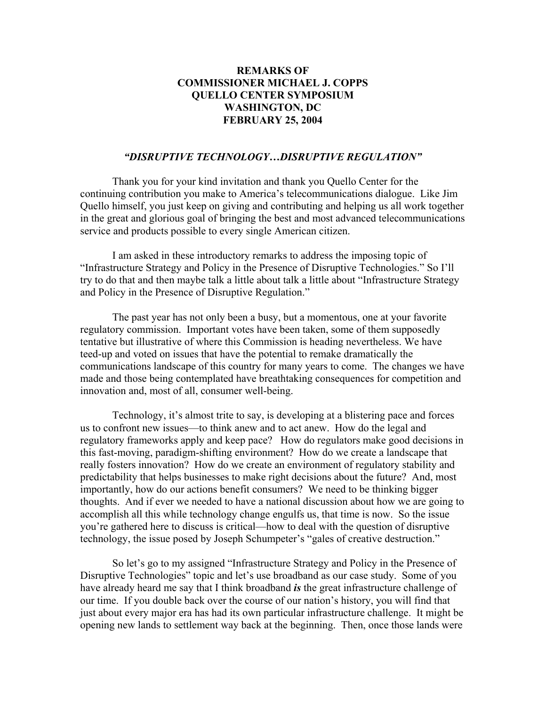## **REMARKS OF COMMISSIONER MICHAEL J. COPPS QUELLO CENTER SYMPOSIUM WASHINGTON, DC FEBRUARY 25, 2004**

## *"DISRUPTIVE TECHNOLOGY…DISRUPTIVE REGULATION"*

Thank you for your kind invitation and thank you Quello Center for the continuing contribution you make to America's telecommunications dialogue. Like Jim Quello himself, you just keep on giving and contributing and helping us all work together in the great and glorious goal of bringing the best and most advanced telecommunications service and products possible to every single American citizen.

I am asked in these introductory remarks to address the imposing topic of "Infrastructure Strategy and Policy in the Presence of Disruptive Technologies." So I'll try to do that and then maybe talk a little about talk a little about "Infrastructure Strategy and Policy in the Presence of Disruptive Regulation."

The past year has not only been a busy, but a momentous, one at your favorite regulatory commission. Important votes have been taken, some of them supposedly tentative but illustrative of where this Commission is heading nevertheless. We have teed-up and voted on issues that have the potential to remake dramatically the communications landscape of this country for many years to come. The changes we have made and those being contemplated have breathtaking consequences for competition and innovation and, most of all, consumer well-being.

Technology, it's almost trite to say, is developing at a blistering pace and forces us to confront new issues—to think anew and to act anew. How do the legal and regulatory frameworks apply and keep pace? How do regulators make good decisions in this fast-moving, paradigm-shifting environment? How do we create a landscape that really fosters innovation? How do we create an environment of regulatory stability and predictability that helps businesses to make right decisions about the future? And, most importantly, how do our actions benefit consumers? We need to be thinking bigger thoughts. And if ever we needed to have a national discussion about how we are going to accomplish all this while technology change engulfs us, that time is now. So the issue you're gathered here to discuss is critical—how to deal with the question of disruptive technology, the issue posed by Joseph Schumpeter's "gales of creative destruction."

So let's go to my assigned "Infrastructure Strategy and Policy in the Presence of Disruptive Technologies" topic and let's use broadband as our case study. Some of you have already heard me say that I think broadband *is* the great infrastructure challenge of our time. If you double back over the course of our nation's history, you will find that just about every major era has had its own particular infrastructure challenge. It might be opening new lands to settlement way back at the beginning. Then, once those lands were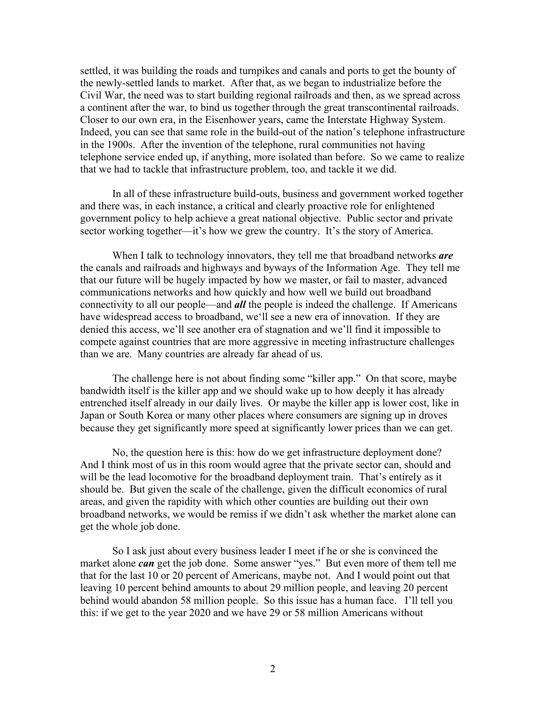settled, it was building the roads and turnpikes and canals and ports to get the bounty of the newly-settled lands to market. After that, as we began to industrialize before the Civil War, the need was to start building regional railroads and then, as we spread across a continent after the war, to bind us together through the great transcontinental railroads. Closer to our own era, in the Eisenhower years, came the Interstate Highway System. Indeed, you can see that same role in the build-out of the nation's telephone infrastructure in the 1900s. After the invention of the telephone, rural communities not having telephone service ended up, if anything, more isolated than before. So we came to realize that we had to tackle that infrastructure problem, too, and tackle it we did.

In all of these infrastructure build-outs, business and government worked together and there was, in each instance, a critical and clearly proactive role for enlightened government policy to help achieve a great national objective. Public sector and private sector working together—it's how we grew the country. It's the story of America.

When I talk to technology innovators, they tell me that broadband networks *are* the canals and railroads and highways and byways of the Information Age. They tell me that our future will be hugely impacted by how we master, or fail to master, advanced communications networks and how quickly and how well we build out broadband connectivity to all our people—and *all* the people is indeed the challenge. If Americans have widespread access to broadband, we'll see a new era of innovation. If they are denied this access, we'll see another era of stagnation and we'll find it impossible to compete against countries that are more aggressive in meeting infrastructure challenges than we are. Many countries are already far ahead of us.

The challenge here is not about finding some "killer app." On that score, maybe bandwidth itself is the killer app and we should wake up to how deeply it has already entrenched itself already in our daily lives. Or maybe the killer app is lower cost, like in Japan or South Korea or many other places where consumers are signing up in droves because they get significantly more speed at significantly lower prices than we can get.

 No, the question here is this: how do we get infrastructure deployment done? And I think most of us in this room would agree that the private sector can, should and will be the lead locomotive for the broadband deployment train. That's entirely as it should be. But given the scale of the challenge, given the difficult economics of rural areas, and given the rapidity with which other counties are building out their own broadband networks, we would be remiss if we didn't ask whether the market alone can get the whole job done.

 So I ask just about every business leader I meet if he or she is convinced the market alone *can* get the job done. Some answer "yes." But even more of them tell me that for the last 10 or 20 percent of Americans, maybe not. And I would point out that leaving 10 percent behind amounts to about 29 million people, and leaving 20 percent behind would abandon 58 million people. So this issue has a human face. I'll tell you this: if we get to the year 2020 and we have 29 or 58 million Americans without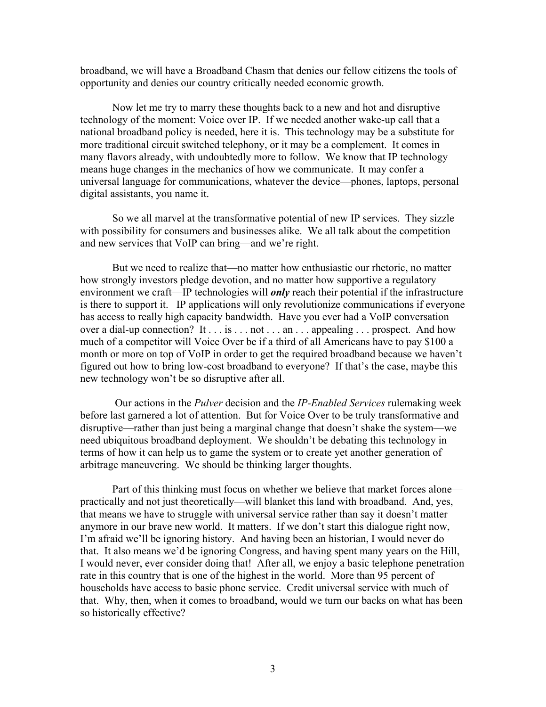broadband, we will have a Broadband Chasm that denies our fellow citizens the tools of opportunity and denies our country critically needed economic growth.

Now let me try to marry these thoughts back to a new and hot and disruptive technology of the moment: Voice over IP. If we needed another wake-up call that a national broadband policy is needed, here it is. This technology may be a substitute for more traditional circuit switched telephony, or it may be a complement. It comes in many flavors already, with undoubtedly more to follow. We know that IP technology means huge changes in the mechanics of how we communicate. It may confer a universal language for communications, whatever the device—phones, laptops, personal digital assistants, you name it.

So we all marvel at the transformative potential of new IP services. They sizzle with possibility for consumers and businesses alike. We all talk about the competition and new services that VoIP can bring—and we're right.

But we need to realize that—no matter how enthusiastic our rhetoric, no matter how strongly investors pledge devotion, and no matter how supportive a regulatory environment we craft—IP technologies will *only* reach their potential if the infrastructure is there to support it. IP applications will only revolutionize communications if everyone has access to really high capacity bandwidth. Have you ever had a VoIP conversation over a dial-up connection? It . . . is . . . not . . . an . . . appealing . . . prospect. And how much of a competitor will Voice Over be if a third of all Americans have to pay \$100 a month or more on top of VoIP in order to get the required broadband because we haven't figured out how to bring low-cost broadband to everyone? If that's the case, maybe this new technology won't be so disruptive after all.

 Our actions in the *Pulver* decision and the *IP-Enabled Services* rulemaking week before last garnered a lot of attention. But for Voice Over to be truly transformative and disruptive—rather than just being a marginal change that doesn't shake the system—we need ubiquitous broadband deployment. We shouldn't be debating this technology in terms of how it can help us to game the system or to create yet another generation of arbitrage maneuvering. We should be thinking larger thoughts.

Part of this thinking must focus on whether we believe that market forces alone practically and not just theoretically—will blanket this land with broadband. And, yes, that means we have to struggle with universal service rather than say it doesn't matter anymore in our brave new world. It matters. If we don't start this dialogue right now, I'm afraid we'll be ignoring history. And having been an historian, I would never do that. It also means we'd be ignoring Congress, and having spent many years on the Hill, I would never, ever consider doing that! After all, we enjoy a basic telephone penetration rate in this country that is one of the highest in the world. More than 95 percent of households have access to basic phone service. Credit universal service with much of that. Why, then, when it comes to broadband, would we turn our backs on what has been so historically effective?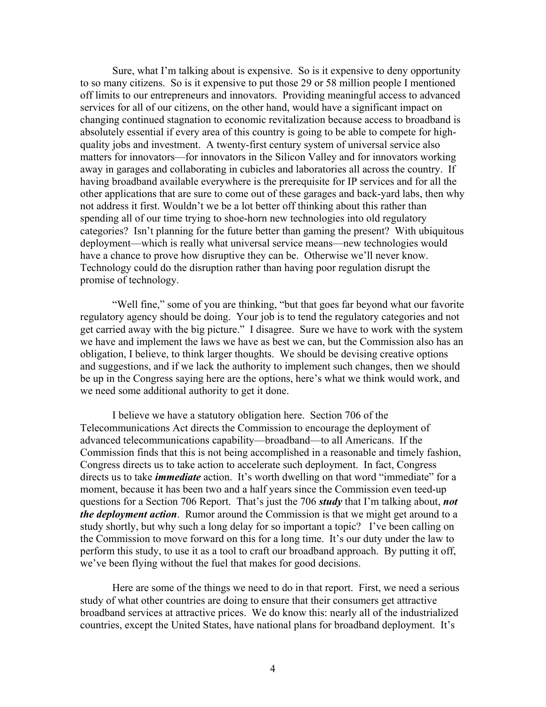Sure, what I'm talking about is expensive. So is it expensive to deny opportunity to so many citizens. So is it expensive to put those 29 or 58 million people I mentioned off limits to our entrepreneurs and innovators. Providing meaningful access to advanced services for all of our citizens, on the other hand, would have a significant impact on changing continued stagnation to economic revitalization because access to broadband is absolutely essential if every area of this country is going to be able to compete for highquality jobs and investment. A twenty-first century system of universal service also matters for innovators—for innovators in the Silicon Valley and for innovators working away in garages and collaborating in cubicles and laboratories all across the country. If having broadband available everywhere is the prerequisite for IP services and for all the other applications that are sure to come out of these garages and back-yard labs, then why not address it first. Wouldn't we be a lot better off thinking about this rather than spending all of our time trying to shoe-horn new technologies into old regulatory categories? Isn't planning for the future better than gaming the present? With ubiquitous deployment—which is really what universal service means—new technologies would have a chance to prove how disruptive they can be. Otherwise we'll never know. Technology could do the disruption rather than having poor regulation disrupt the promise of technology.

"Well fine," some of you are thinking, "but that goes far beyond what our favorite regulatory agency should be doing. Your job is to tend the regulatory categories and not get carried away with the big picture." I disagree. Sure we have to work with the system we have and implement the laws we have as best we can, but the Commission also has an obligation, I believe, to think larger thoughts. We should be devising creative options and suggestions, and if we lack the authority to implement such changes, then we should be up in the Congress saying here are the options, here's what we think would work, and we need some additional authority to get it done.

I believe we have a statutory obligation here. Section 706 of the Telecommunications Act directs the Commission to encourage the deployment of advanced telecommunications capability—broadband—to all Americans. If the Commission finds that this is not being accomplished in a reasonable and timely fashion, Congress directs us to take action to accelerate such deployment. In fact, Congress directs us to take *immediate* action. It's worth dwelling on that word "immediate" for a moment, because it has been two and a half years since the Commission even teed-up questions for a Section 706 Report. That's just the 706 *study* that I'm talking about, *not the deployment action*. Rumor around the Commission is that we might get around to a study shortly, but why such a long delay for so important a topic? I've been calling on the Commission to move forward on this for a long time. It's our duty under the law to perform this study, to use it as a tool to craft our broadband approach. By putting it off, we've been flying without the fuel that makes for good decisions.

 Here are some of the things we need to do in that report. First, we need a serious study of what other countries are doing to ensure that their consumers get attractive broadband services at attractive prices. We do know this: nearly all of the industrialized countries, except the United States, have national plans for broadband deployment. It's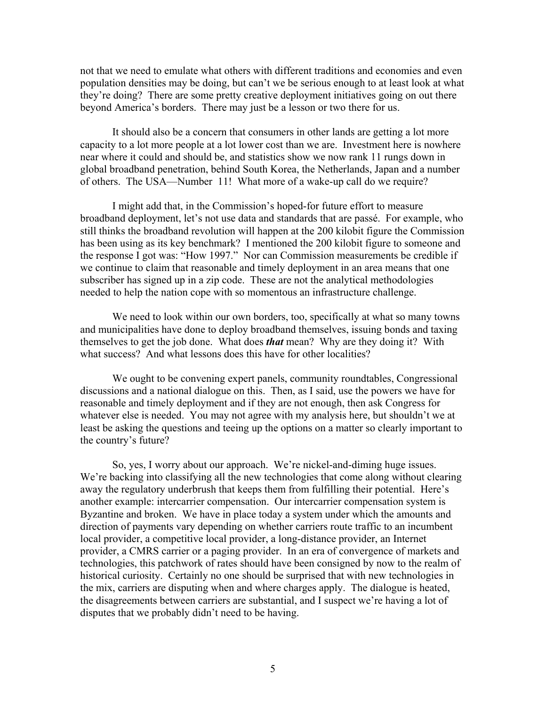not that we need to emulate what others with different traditions and economies and even population densities may be doing, but can't we be serious enough to at least look at what they're doing? There are some pretty creative deployment initiatives going on out there beyond America's borders. There may just be a lesson or two there for us.

 It should also be a concern that consumers in other lands are getting a lot more capacity to a lot more people at a lot lower cost than we are. Investment here is nowhere near where it could and should be, and statistics show we now rank 11 rungs down in global broadband penetration, behind South Korea, the Netherlands, Japan and a number of others. The USA—Number 11! What more of a wake-up call do we require?

 I might add that, in the Commission's hoped-for future effort to measure broadband deployment, let's not use data and standards that are passé. For example, who still thinks the broadband revolution will happen at the 200 kilobit figure the Commission has been using as its key benchmark? I mentioned the 200 kilobit figure to someone and the response I got was: "How 1997." Nor can Commission measurements be credible if we continue to claim that reasonable and timely deployment in an area means that one subscriber has signed up in a zip code. These are not the analytical methodologies needed to help the nation cope with so momentous an infrastructure challenge.

We need to look within our own borders, too, specifically at what so many towns and municipalities have done to deploy broadband themselves, issuing bonds and taxing themselves to get the job done. What does *that* mean? Why are they doing it? With what success? And what lessons does this have for other localities?

We ought to be convening expert panels, community roundtables, Congressional discussions and a national dialogue on this. Then, as I said, use the powers we have for reasonable and timely deployment and if they are not enough, then ask Congress for whatever else is needed. You may not agree with my analysis here, but shouldn't we at least be asking the questions and teeing up the options on a matter so clearly important to the country's future?

So, yes, I worry about our approach. We're nickel-and-diming huge issues. We're backing into classifying all the new technologies that come along without clearing away the regulatory underbrush that keeps them from fulfilling their potential. Here's another example: intercarrier compensation. Our intercarrier compensation system is Byzantine and broken. We have in place today a system under which the amounts and direction of payments vary depending on whether carriers route traffic to an incumbent local provider, a competitive local provider, a long-distance provider, an Internet provider, a CMRS carrier or a paging provider. In an era of convergence of markets and technologies, this patchwork of rates should have been consigned by now to the realm of historical curiosity. Certainly no one should be surprised that with new technologies in the mix, carriers are disputing when and where charges apply. The dialogue is heated, the disagreements between carriers are substantial, and I suspect we're having a lot of disputes that we probably didn't need to be having.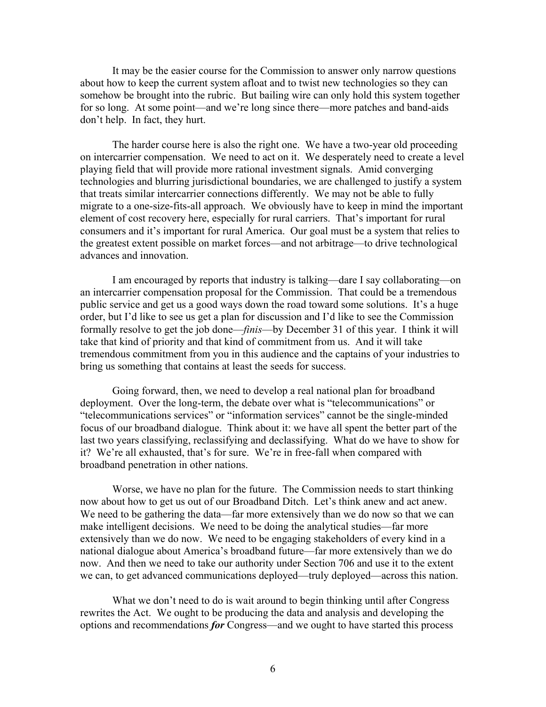It may be the easier course for the Commission to answer only narrow questions about how to keep the current system afloat and to twist new technologies so they can somehow be brought into the rubric. But bailing wire can only hold this system together for so long. At some point—and we're long since there—more patches and band-aids don't help. In fact, they hurt.

The harder course here is also the right one. We have a two-year old proceeding on intercarrier compensation. We need to act on it. We desperately need to create a level playing field that will provide more rational investment signals. Amid converging technologies and blurring jurisdictional boundaries, we are challenged to justify a system that treats similar intercarrier connections differently. We may not be able to fully migrate to a one-size-fits-all approach. We obviously have to keep in mind the important element of cost recovery here, especially for rural carriers. That's important for rural consumers and it's important for rural America. Our goal must be a system that relies to the greatest extent possible on market forces—and not arbitrage—to drive technological advances and innovation.

I am encouraged by reports that industry is talking—dare I say collaborating—on an intercarrier compensation proposal for the Commission. That could be a tremendous public service and get us a good ways down the road toward some solutions. It's a huge order, but I'd like to see us get a plan for discussion and I'd like to see the Commission formally resolve to get the job done—*finis*—by December 31 of this year. I think it will take that kind of priority and that kind of commitment from us. And it will take tremendous commitment from you in this audience and the captains of your industries to bring us something that contains at least the seeds for success.

Going forward, then, we need to develop a real national plan for broadband deployment. Over the long-term, the debate over what is "telecommunications" or "telecommunications services" or "information services" cannot be the single-minded focus of our broadband dialogue. Think about it: we have all spent the better part of the last two years classifying, reclassifying and declassifying. What do we have to show for it? We're all exhausted, that's for sure. We're in free-fall when compared with broadband penetration in other nations.

Worse, we have no plan for the future. The Commission needs to start thinking now about how to get us out of our Broadband Ditch. Let's think anew and act anew. We need to be gathering the data—far more extensively than we do now so that we can make intelligent decisions. We need to be doing the analytical studies—far more extensively than we do now. We need to be engaging stakeholders of every kind in a national dialogue about America's broadband future—far more extensively than we do now. And then we need to take our authority under Section 706 and use it to the extent we can, to get advanced communications deployed—truly deployed—across this nation.

What we don't need to do is wait around to begin thinking until after Congress rewrites the Act. We ought to be producing the data and analysis and developing the options and recommendations *for* Congress—and we ought to have started this process